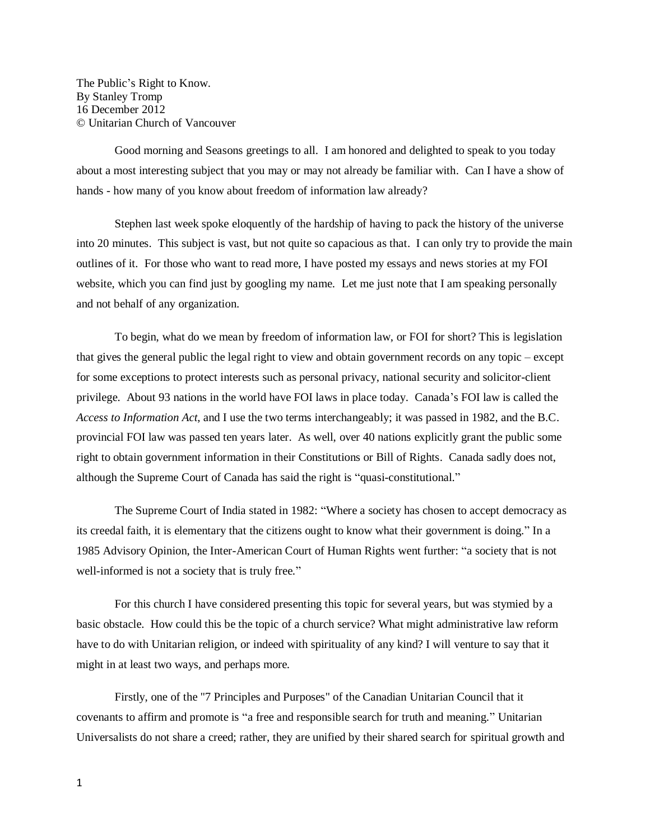The Public's Right to Know. By Stanley Tromp 16 December 2012 © Unitarian Church of Vancouver

Good morning and Seasons greetings to all. I am honored and delighted to speak to you today about a most interesting subject that you may or may not already be familiar with. Can I have a show of hands - how many of you know about freedom of information law already?

Stephen last week spoke eloquently of the hardship of having to pack the history of the universe into 20 minutes. This subject is vast, but not quite so capacious as that. I can only try to provide the main outlines of it. For those who want to read more, I have posted my essays and news stories at my FOI website, which you can find just by googling my name. Let me just note that I am speaking personally and not behalf of any organization.

To begin, what do we mean by freedom of information law, or FOI for short? This is legislation that gives the general public the legal right to view and obtain government records on any topic – except for some exceptions to protect interests such as personal privacy, national security and solicitor-client privilege. About 93 nations in the world have FOI laws in place today. Canada's FOI law is called the *Access to Information Act*, and I use the two terms interchangeably; it was passed in 1982, and the B.C. provincial FOI law was passed ten years later. As well, over 40 nations explicitly grant the public some right to obtain government information in their Constitutions or Bill of Rights. Canada sadly does not, although the Supreme Court of Canada has said the right is "quasi-constitutional."

The Supreme Court of India stated in 1982: "Where a society has chosen to accept democracy as its creedal faith, it is elementary that the citizens ought to know what their government is doing." In a 1985 Advisory Opinion, the Inter-American Court of Human Rights went further: "a society that is not well-informed is not a society that is truly free."

For this church I have considered presenting this topic for several years, but was stymied by a basic obstacle. How could this be the topic of a church service? What might administrative law reform have to do with Unitarian religion, or indeed with spirituality of any kind? I will venture to say that it might in at least two ways, and perhaps more.

Firstly, one of the "7 Principles and Purposes" of the Canadian Unitarian Council that it covenants to affirm and promote is "a free and responsible search for truth and meaning." Unitarian Universalists do not share a creed; rather, they are unified by their shared search for spiritual growth and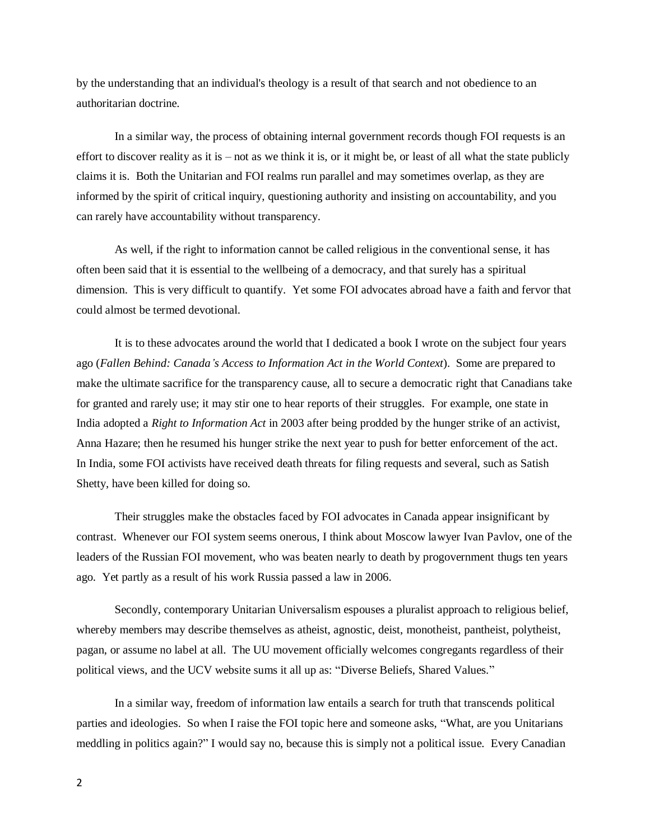by the understanding that an individual's theology is a result of that search and not obedience to an authoritarian doctrine.

In a similar way, the process of obtaining internal government records though FOI requests is an effort to discover reality as it is – not as we think it is, or it might be, or least of all what the state publicly claims it is. Both the Unitarian and FOI realms run parallel and may sometimes overlap, as they are informed by the spirit of critical inquiry, questioning authority and insisting on accountability, and you can rarely have accountability without transparency.

As well, if the right to information cannot be called religious in the conventional sense, it has often been said that it is essential to the wellbeing of a democracy, and that surely has a spiritual dimension. This is very difficult to quantify. Yet some FOI advocates abroad have a faith and fervor that could almost be termed devotional.

It is to these advocates around the world that I dedicated a book I wrote on the subject four years ago (*Fallen Behind: Canada's Access to Information Act in the World Context*). Some are prepared to make the ultimate sacrifice for the transparency cause, all to secure a democratic right that Canadians take for granted and rarely use; it may stir one to hear reports of their struggles. For example, one state in India adopted a *Right to Information Act* in 2003 after being prodded by the hunger strike of an activist, Anna Hazare; then he resumed his hunger strike the next year to push for better enforcement of the act. In India, some FOI activists have received death threats for filing requests and several, such as Satish Shetty, have been killed for doing so.

Their struggles make the obstacles faced by FOI advocates in Canada appear insignificant by contrast. Whenever our FOI system seems onerous, I think about Moscow lawyer Ivan Pavlov, one of the leaders of the Russian FOI movement, who was beaten nearly to death by progovernment thugs ten years ago. Yet partly as a result of his work Russia passed a law in 2006.

Secondly, contemporary Unitarian Universalism espouses a pluralist approach to religious belief, whereby members may describe themselves as atheist, agnostic, deist, monotheist, pantheist, polytheist, pagan, or assume no label at all. The UU movement officially welcomes congregants regardless of their political views, and the UCV website sums it all up as: "Diverse Beliefs, Shared Values."

In a similar way, freedom of information law entails a search for truth that transcends political parties and ideologies. So when I raise the FOI topic here and someone asks, "What, are you Unitarians meddling in politics again?" I would say no, because this is simply not a political issue. Every Canadian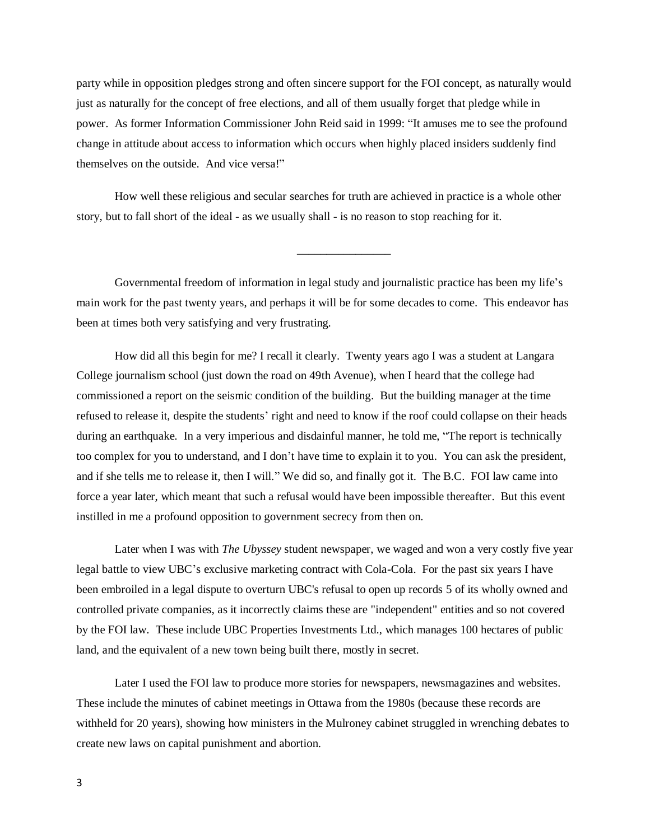party while in opposition pledges strong and often sincere support for the FOI concept, as naturally would just as naturally for the concept of free elections, and all of them usually forget that pledge while in power. As former Information Commissioner John Reid said in 1999: "It amuses me to see the profound change in attitude about access to information which occurs when highly placed insiders suddenly find themselves on the outside. And vice versa!"

How well these religious and secular searches for truth are achieved in practice is a whole other story, but to fall short of the ideal - as we usually shall - is no reason to stop reaching for it.

Governmental freedom of information in legal study and journalistic practice has been my life's main work for the past twenty years, and perhaps it will be for some decades to come. This endeavor has been at times both very satisfying and very frustrating.

\_\_\_\_\_\_\_\_\_\_\_\_\_\_\_\_

How did all this begin for me? I recall it clearly. Twenty years ago I was a student at Langara College journalism school (just down the road on 49th Avenue), when I heard that the college had commissioned a report on the seismic condition of the building. But the building manager at the time refused to release it, despite the students' right and need to know if the roof could collapse on their heads during an earthquake. In a very imperious and disdainful manner, he told me, "The report is technically too complex for you to understand, and I don't have time to explain it to you. You can ask the president, and if she tells me to release it, then I will." We did so, and finally got it. The B.C. FOI law came into force a year later, which meant that such a refusal would have been impossible thereafter. But this event instilled in me a profound opposition to government secrecy from then on.

Later when I was with *The Ubyssey* student newspaper, we waged and won a very costly five year legal battle to view UBC's exclusive marketing contract with Cola-Cola. For the past six years I have been embroiled in a legal dispute to overturn UBC's refusal to open up records 5 of its wholly owned and controlled private companies, as it incorrectly claims these are "independent" entities and so not covered by the FOI law. These include UBC Properties Investments Ltd., which manages 100 hectares of public land, and the equivalent of a new town being built there, mostly in secret.

Later I used the FOI law to produce more stories for newspapers, newsmagazines and websites. These include the minutes of cabinet meetings in Ottawa from the 1980s (because these records are withheld for 20 years), showing how ministers in the Mulroney cabinet struggled in wrenching debates to create new laws on capital punishment and abortion.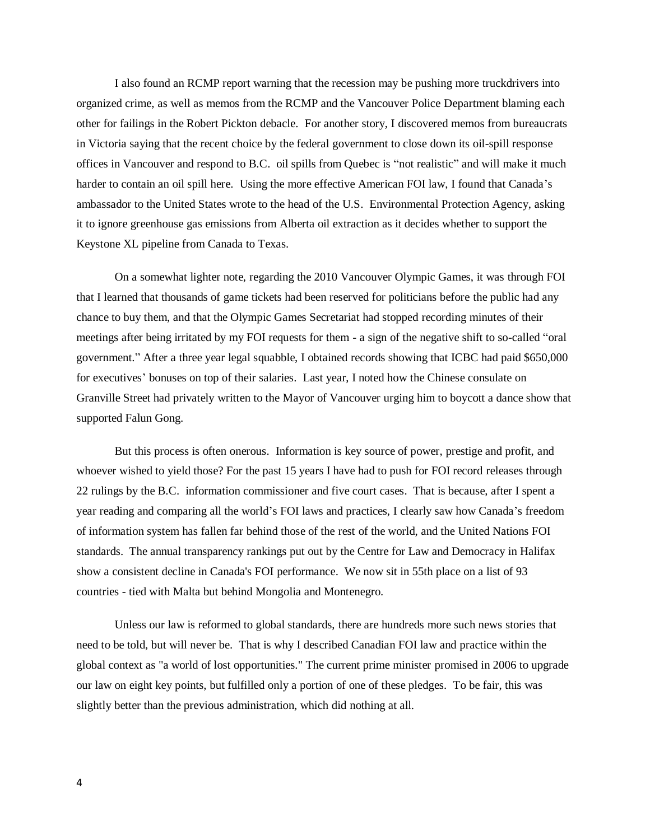I also found an RCMP report warning that the recession may be pushing more truckdrivers into organized crime, as well as memos from the RCMP and the Vancouver Police Department blaming each other for failings in the Robert Pickton debacle. For another story, I discovered memos from bureaucrats in Victoria saying that the recent choice by the federal government to close down its oil-spill response offices in Vancouver and respond to B.C. oil spills from Quebec is "not realistic" and will make it much harder to contain an oil spill here. Using the more effective American FOI law, I found that Canada's ambassador to the United States wrote to the head of the U.S. Environmental Protection Agency, asking it to ignore greenhouse gas emissions from Alberta oil extraction as it decides whether to support the Keystone XL pipeline from Canada to Texas.

On a somewhat lighter note, regarding the 2010 Vancouver Olympic Games, it was through FOI that I learned that thousands of game tickets had been reserved for politicians before the public had any chance to buy them, and that the Olympic Games Secretariat had stopped recording minutes of their meetings after being irritated by my FOI requests for them - a sign of the negative shift to so-called "oral government." After a three year legal squabble, I obtained records showing that ICBC had paid \$650,000 for executives' bonuses on top of their salaries. Last year, I noted how the Chinese consulate on Granville Street had privately written to the Mayor of Vancouver urging him to boycott a dance show that supported Falun Gong.

But this process is often onerous. Information is key source of power, prestige and profit, and whoever wished to yield those? For the past 15 years I have had to push for FOI record releases through 22 rulings by the B.C. information commissioner and five court cases. That is because, after I spent a year reading and comparing all the world's FOI laws and practices, I clearly saw how Canada's freedom of information system has fallen far behind those of the rest of the world, and the United Nations FOI standards. The annual transparency rankings put out by the Centre for Law and Democracy in Halifax show a consistent decline in Canada's FOI performance. We now sit in 55th place on a list of 93 countries - tied with Malta but behind Mongolia and Montenegro.

Unless our law is reformed to global standards, there are hundreds more such news stories that need to be told, but will never be. That is why I described Canadian FOI law and practice within the global context as "a world of lost opportunities." The current prime minister promised in 2006 to upgrade our law on eight key points, but fulfilled only a portion of one of these pledges. To be fair, this was slightly better than the previous administration, which did nothing at all.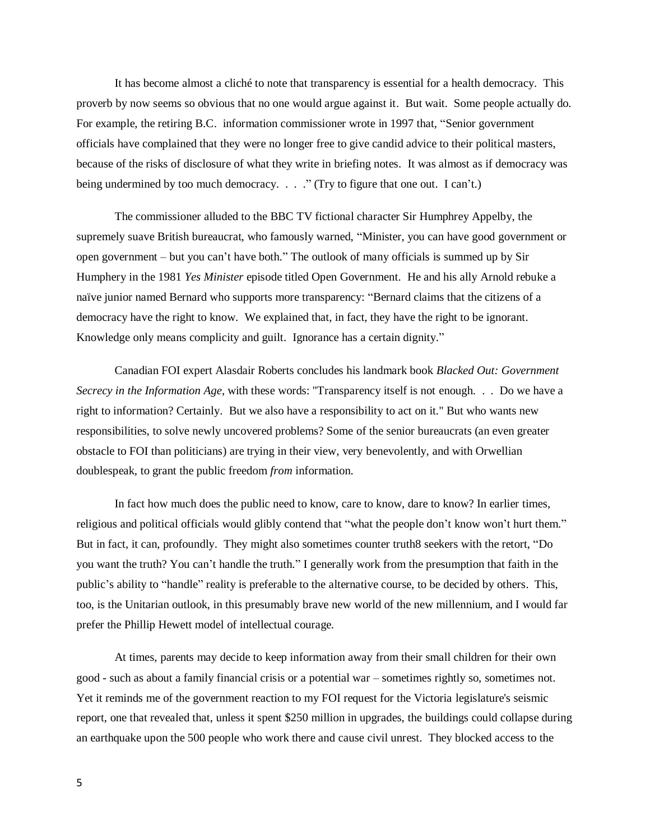It has become almost a cliché to note that transparency is essential for a health democracy. This proverb by now seems so obvious that no one would argue against it. But wait. Some people actually do. For example, the retiring B.C. information commissioner wrote in 1997 that, "Senior government officials have complained that they were no longer free to give candid advice to their political masters, because of the risks of disclosure of what they write in briefing notes. It was almost as if democracy was being undermined by too much democracy. . . . " (Try to figure that one out. I can't.)

The commissioner alluded to the BBC TV fictional character Sir Humphrey Appelby, the supremely suave British bureaucrat, who famously warned, "Minister, you can have good government or open government – but you can't have both." The outlook of many officials is summed up by Sir Humphery in the 1981 *Yes Minister* episode titled Open Government. He and his ally Arnold rebuke a naïve junior named Bernard who supports more transparency: "Bernard claims that the citizens of a democracy have the right to know. We explained that, in fact, they have the right to be ignorant. Knowledge only means complicity and guilt. Ignorance has a certain dignity."

Canadian FOI expert Alasdair Roberts concludes his landmark book *Blacked Out: Government Secrecy in the Information Age*, with these words: "Transparency itself is not enough. . . Do we have a right to information? Certainly. But we also have a responsibility to act on it." But who wants new responsibilities, to solve newly uncovered problems? Some of the senior bureaucrats (an even greater obstacle to FOI than politicians) are trying in their view, very benevolently, and with Orwellian doublespeak, to grant the public freedom *from* information.

In fact how much does the public need to know, care to know, dare to know? In earlier times, religious and political officials would glibly contend that "what the people don't know won't hurt them." But in fact, it can, profoundly. They might also sometimes counter truth8 seekers with the retort, "Do you want the truth? You can't handle the truth." I generally work from the presumption that faith in the public's ability to "handle" reality is preferable to the alternative course, to be decided by others. This, too, is the Unitarian outlook, in this presumably brave new world of the new millennium, and I would far prefer the Phillip Hewett model of intellectual courage.

At times, parents may decide to keep information away from their small children for their own good - such as about a family financial crisis or a potential war – sometimes rightly so, sometimes not. Yet it reminds me of the government reaction to my FOI request for the Victoria legislature's seismic report, one that revealed that, unless it spent \$250 million in upgrades, the buildings could collapse during an earthquake upon the 500 people who work there and cause civil unrest. They blocked access to the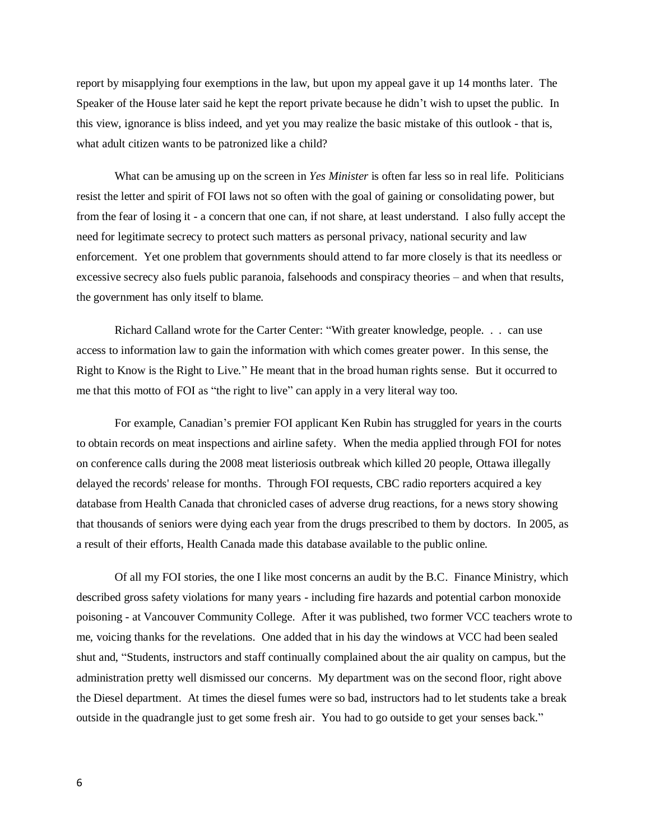report by misapplying four exemptions in the law, but upon my appeal gave it up 14 months later. The Speaker of the House later said he kept the report private because he didn't wish to upset the public. In this view, ignorance is bliss indeed, and yet you may realize the basic mistake of this outlook - that is, what adult citizen wants to be patronized like a child?

What can be amusing up on the screen in *Yes Minister* is often far less so in real life. Politicians resist the letter and spirit of FOI laws not so often with the goal of gaining or consolidating power, but from the fear of losing it - a concern that one can, if not share, at least understand. I also fully accept the need for legitimate secrecy to protect such matters as personal privacy, national security and law enforcement. Yet one problem that governments should attend to far more closely is that its needless or excessive secrecy also fuels public paranoia, falsehoods and conspiracy theories – and when that results, the government has only itself to blame.

Richard Calland wrote for the Carter Center: "With greater knowledge, people. . . can use access to information law to gain the information with which comes greater power. In this sense, the Right to Know is the Right to Live." He meant that in the broad human rights sense. But it occurred to me that this motto of FOI as "the right to live" can apply in a very literal way too.

For example, Canadian's premier FOI applicant Ken Rubin has struggled for years in the courts to obtain records on meat inspections and airline safety. When the media applied through FOI for notes on conference calls during the 2008 meat listeriosis outbreak which killed 20 people, Ottawa illegally delayed the records' release for months. Through FOI requests, CBC radio reporters acquired a key database from Health Canada that chronicled cases of adverse drug reactions, for a news story showing that thousands of seniors were dying each year from the drugs prescribed to them by doctors. In 2005, as a result of their efforts, Health Canada made this database available to the public online.

Of all my FOI stories, the one I like most concerns an audit by the B.C. Finance Ministry, which described gross safety violations for many years - including fire hazards and potential carbon monoxide poisoning - at Vancouver Community College. After it was published, two former VCC teachers wrote to me, voicing thanks for the revelations. One added that in his day the windows at VCC had been sealed shut and, "Students, instructors and staff continually complained about the air quality on campus, but the administration pretty well dismissed our concerns. My department was on the second floor, right above the Diesel department. At times the diesel fumes were so bad, instructors had to let students take a break outside in the quadrangle just to get some fresh air. You had to go outside to get your senses back."